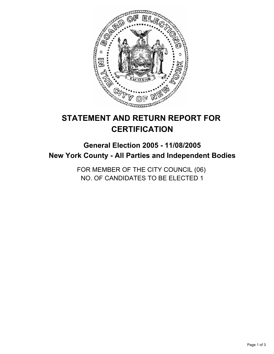

# **STATEMENT AND RETURN REPORT FOR CERTIFICATION**

# **General Election 2005 - 11/08/2005 New York County - All Parties and Independent Bodies**

FOR MEMBER OF THE CITY COUNCIL (06) NO. OF CANDIDATES TO BE ELECTED 1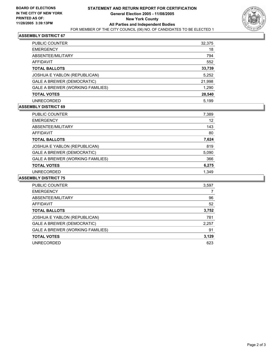

## **ASSEMBLY DISTRICT 67**

| PUBLIC COUNTER                      | 32,375 |
|-------------------------------------|--------|
| <b>EMERGENCY</b>                    | 18     |
| ABSENTEE/MILITARY                   | 794    |
| AFFIDAVIT                           | 552    |
| <b>TOTAL BALLOTS</b>                | 33,739 |
| <b>JOSHUA E YABLON (REPUBLICAN)</b> | 5,252  |
| <b>GALE A BREWER (DEMOCRATIC)</b>   | 21,998 |
| GALE A BREWER (WORKING FAMILIES)    | 1,290  |
| <b>TOTAL VOTES</b>                  | 28,540 |
| <b>UNRECORDED</b>                   | 5.199  |

#### **ASSEMBLY DISTRICT 69**

| PUBLIC COUNTER                   | 7,389 |  |
|----------------------------------|-------|--|
| <b>EMERGENCY</b>                 | 12    |  |
| ABSENTEE/MILITARY                | 143   |  |
| AFFIDAVIT                        | 80    |  |
| <b>TOTAL BALLOTS</b>             | 7,624 |  |
| JOSHUA E YABLON (REPUBLICAN)     | 819   |  |
| GALE A BREWER (DEMOCRATIC)       | 5,090 |  |
| GALE A BREWER (WORKING FAMILIES) | 366   |  |
| <b>TOTAL VOTES</b>               | 6,275 |  |
| <b>UNRECORDED</b>                | 1.349 |  |

#### **ASSEMBLY DISTRICT 75**

| PUBLIC COUNTER                      | 3,597 |  |
|-------------------------------------|-------|--|
| <b>EMERGENCY</b>                    |       |  |
| ABSENTEE/MILITARY                   | 96    |  |
| AFFIDAVIT                           | 52    |  |
| <b>TOTAL BALLOTS</b>                | 3,752 |  |
| <b>JOSHUA E YABLON (REPUBLICAN)</b> | 781   |  |
| GALE A BREWER (DEMOCRATIC)          | 2,257 |  |
| GALE A BREWER (WORKING FAMILIES)    | 91    |  |
| <b>TOTAL VOTES</b>                  | 3,129 |  |
| UNRECORDED                          | 623   |  |